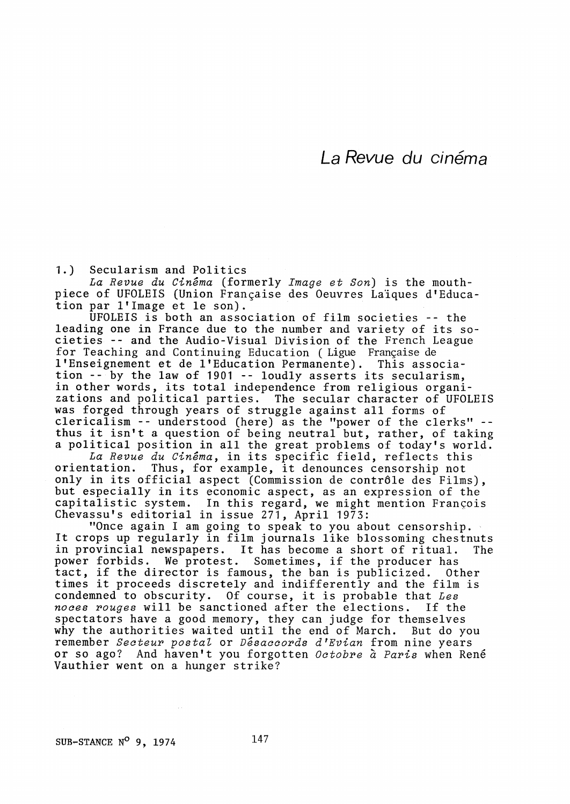La Revue du cinéma

1.) Secularism and Politics

La Revue du Cinéma (formerly Image et Son) is the mouthpiece of UFOLEIS (Union Frangaise des Oeuvres Laiques d'Education par l'Image et le son).

UFOLEIS is both an association of film societies -- the leading one in France due to the number and variety of its societies -- and the Audio-Visual Division of the French League for Teaching and Continuing Education ( Ligue Frangaise de 1'Enseignement et de 1'Education Permanente). This association -- by the law of 1901 -- loudly asserts its secularism, in other words, its total independence from religious organizations and political parties. The secular character of UFOLEIS was forged through years of struggle against all forms of clericalism -- understood (here) as the "power of the clerks" -thus it isn't a question of being neutral but, rather, of taking a political position in all the great problems of today's world.

La Revue du Cinéma, in its specific field, reflects this orientation. Thus, for example, it denounces censorship not only in its official aspect (Commission de contr6le des Films), but especially in its economic aspect, as an expression of the capitalistic system. In this regard, we might mention François Chevassu's editorial in issue 271, April 1973:

"Once again I am going to speak to you about censorship. It crops up regularly in film journals like blossoming chestnuts in provincial newspapers. It has become a short of ritual. The power forbids. We protest. Sometimes, if the producer has tact, if the director is famous, the ban is publicized. Other times it proceeds discretely and indifferently and the film is condemned to obscurity. Of course, it is probable that Les<br>noces rouges will be sanctioned after the elections. If the noces rouges will be sanctioned after the elections. spectators have a good memory, they can judge for themselves why the authorities waited until the end of March. But do you remember Secteur postal or Désaccords d'Evian from nine years or so ago? And haven't you forgotten *Octobre à Paris* when René<br>Vauthier went on a hunger strike?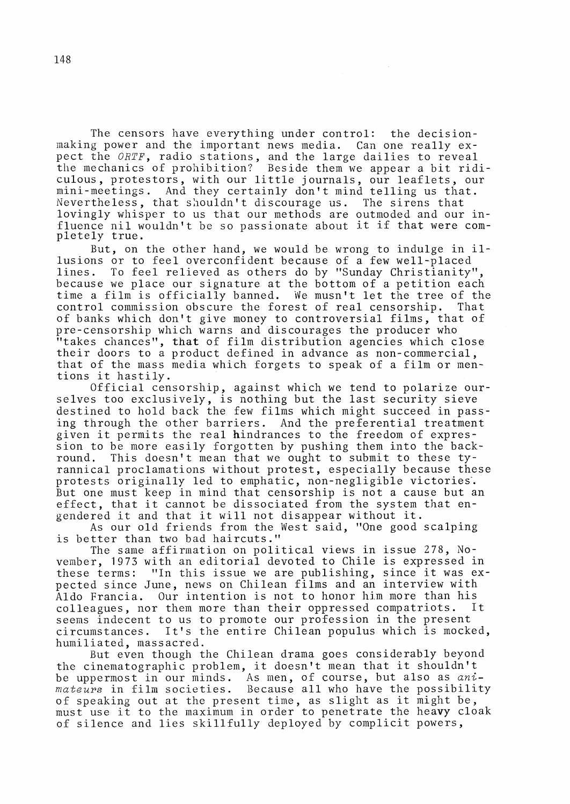The censors have everything under control: the decisionmaking power and the important news media. Can one really expect the ORTF, radio stations, and the large dailies to reveal the mechanics of prohibition? Beside them we appear a bit ridiculous, protestors, with our little journals, our leaflets, our mini-meetings. And they certainly don't mind telling us that. Nevertheless, that shouldn't discourage us. The sirens that lovingly whisper to us that our methods are outmoded and our influence nil wouldn't be so passionate about it if that were completely true.

But, on the other hand, we would be wrong to indulge in illusions or to feel overconfident because of a few well-placed lines. To feel relieved as others do by "Sunday Christianity", because we place our signature at the bottom of a petition each time a film is officially banned. We musn't let the tree of the control commission obscure the forest of real censorship. of banks which don't give money to controversial films, that of pre-censorship which warns and discourages the producer who "takes chances", that of film distribution agencies which close their doors to a product defined in advance as non-commercial, that of the mass media which forgets to speak of a film or mentions it hastily.

Official censorship, against which we tend to polarize ourselves too exclusively, is nothing but the last security sieve destined to hold back the few films which might succeed in passing through the other barriers. And the preferential treatment given it permits the real hindrances to the freedom of expression to be more easily forgotten by pushing them into the back-<br>round. This doesn't mean that we ought to submit to these ty-This doesn't mean that we ought to submit to these tyrannical proclamations without protest, especially because these protests originally led to emphatic, non-negligible victories. But one must keep in mind that censorship is not a cause but an effect, that it cannot be dissociated from the system that engendered it and that it will not disappear without it.

As our old friends from the West said, "One good scalping is better than two bad haircuts."

The same affirmation on political views in issue 278, November, 1973 with an editorial devoted to Chile is expressed in these terms: "In this issue we are publishing, since it was expected since June, news on Chilean films and an interview with Aldo Francia. Our intention is not to honor him more than his<br>colleagues, nor them more than their oppressed compatriots. It colleagues, nor them more than their oppressed compatriots. seems indecent to us to promote our profession in the present circumstances. It's the entire Chilean populus which is mocked, humiliated, massacred.

But even though the Chilean drama goes considerably beyond the cinematographic problem, it doesn't mean that it shouldn't be uppermost in our minds. As men, of course, but also as animateurs in film societies. Because all who have the possibility of speaking out at the present time, as slight as it might be, must use it to the maximum in order to penetrate the heavy cloak of silence and lies skillfully deployed by complicit powers,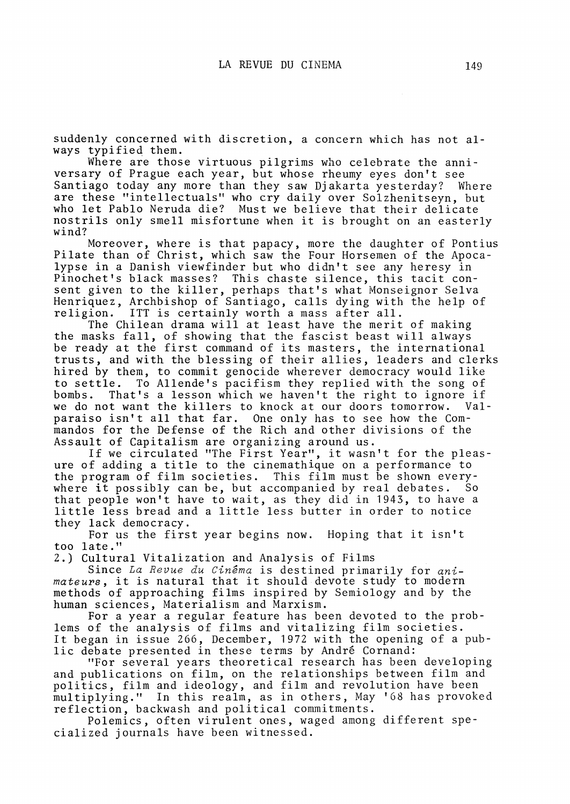suddenly concerned with discretion, a concern which has not always typified them.

Where are those virtuous pilgrims who celebrate the anniversary of Prague each year, but whose rheumy eyes don't see Santiago today any more than they saw Djakarta yesterday? Where are these "intellectuals" who cry daily over Solzhenitseyn, but who let Pablo Neruda die? Must we believe that their delicate nostrils only smell misfortune when it is brought on an easterly wind?

Moreover, where is that papacy, more the daughter of Pontius Pilate than of Christ, which saw the Four Horsemen of the Apocalypse in a Danish viewfinder but who didn't see any heresy in Pinochet's black masses? This chaste silence, this tacit consent given to the killer, perhaps that's what Monseignor Selva Henriquez, Archbishop of Santiago, calls dying with the help of religion. ITT is certainly worth a mass after all.

The Chilean drama will at least have the merit of making the masks fall, of showing that the fascist beast will always be ready at the first command of its masters, the internation trusts, and with the blessing of their allies, leaders and clerks hired by them, to commit genocide wherever democracy would like to settle. To Allende's pacifism they replied with the song of bombs. That's a lesson which we haven't the right to ignore if we do not want the killers to knock at our doors tomorrow. Valparaiso isn't all that far. One only has to see how the Commandos for the Defense of the Rich and other divisions of the Assault of Capitalism are organizing around us.

If we circulated "The First Year", it wasn't for the pleasure of adding a title to the cinemathique on a performance to the program of film societies. This film must be shown everywhere it possibly can be, but accompanied by real debates. So that people won't have to wait, as they did in 1943, to have a little less bread and a little less butter in order to notice they lack democracy.

For us the first year begins now. Hoping that it isn't too late."

2.) Cultural Vitalization and Analysis of Films

Since La Revue du Cinéma is destined primarily for animateurs, it is natural that it should devote study to modern methods of approaching films inspired by Semiology and by the human sciences, Materialism and Marxism.

For a year a regular feature has been devoted to the problems of the analysis of films and vitalizing film societie It began in issue 266, December, 1972 with the opening of a public debate presented in these terms by Andre Cornand:

"For several years theoretical research has been developing and publications on film, on the relationships between film and politics, film and ideology, and film and revolution have been multiplying." In this realm, as in others, May '68 has provoked reflection, backwash and political commitments.

Polemics, often virulent ones, waged among different specialized journals have been witnessed.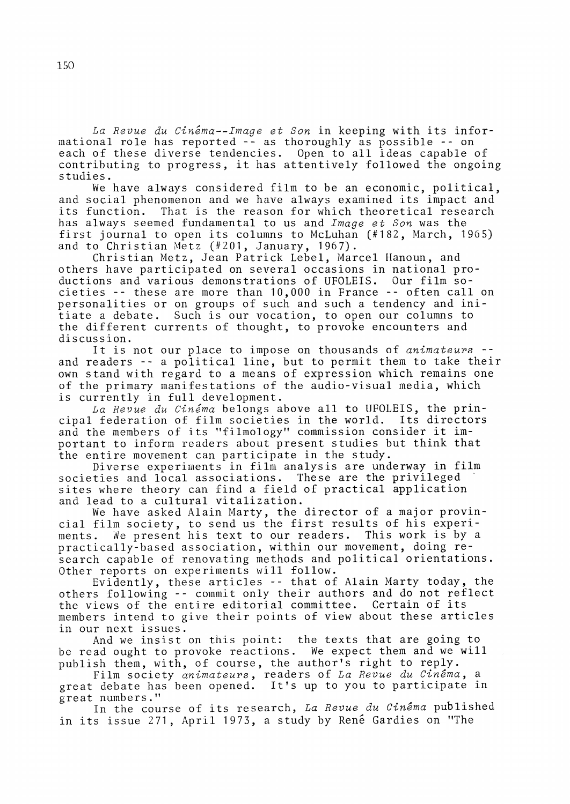La Revue du Cinéma--Image et Son in keeping with its informational role has reported -- as thoroughly as possible -- on each of these diverse tendencies. Open to all ideas capable of contributing to progress, it has attentively followed the ongoing studies.

We have always considered film to be an economic, political, and social phenomenon and we have always examined its impact and its function. That is the reason for which theoretical research has always seemed fundamental to us and Image et Son was the first journal to open its columns to McLuhan (#182, March, 1965) and to Christian Metz (#201, January, 1967).

Christian Metz, Jean Patrick Lebel, Marcel Hanoun, and others have participated on several occasions in national productions and various demonstrations of UFOLEIS. Our film societies -- these are more than 10,000 in France -- often call on personalities or on groups of such and such a tendency and initiate a debate. Such is our vocation, to open our columns to the different currents of thought, to provoke encounters and discussion.

It is not our place to impose on thousands of animateurs -and readers -- a political line, but to permit them to take their own stand with regard to a means of expression which remains one of the primary manifestations of the audio-visual media, which is currently in full development.

La Revue du Cinéma belongs above all to UFOLEIS, the prin-<br>federation of film societies in the world. Its directors cipal federation of film societies in the world. and the members of its "filmology" commission consider it important to inform readers about present studies but think that the entire movement can participate in the study.

Diverse experiments in film analysis are underway in film societies and local associations. These are the privileged sites where theory can find a field of practical application and lead to a cultural vitalization.

We have asked Alain Marty, the director of a major provincial film society, to send us the first results of his experi-We present his text to our readers. This work is by a practically-based association, within our movement, doing research capable of renovating methods and political orientations. Other reports on experiments will follow.

Evidently, these articles -- that of Alain Marty today, the others following -- commit only their authors and do not reflect the views of the entire editorial committee. Certain of its members intend to give their points of view about these articles in our next issues.

And we insist on this point: the texts that are going to be read ought to provoke reactions. We expect them and we will publish them, with, of course, the author's right to reply.

Film society animateurs, readers of La Revue du Cinema, a great debate has been opened. It's up to you to participate in great numbers."

In the course of its research, La Revue du Cinêma published in its issue 271, April 1973, a study by René Gardies on "The